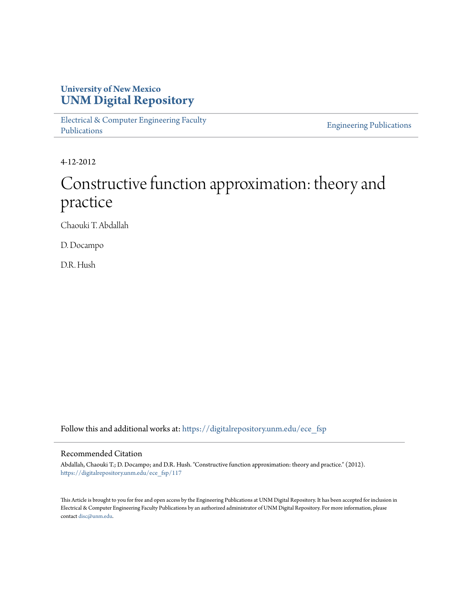## **University of New Mexico [UNM Digital Repository](https://digitalrepository.unm.edu?utm_source=digitalrepository.unm.edu%2Fece_fsp%2F117&utm_medium=PDF&utm_campaign=PDFCoverPages)**

[Electrical & Computer Engineering Faculty](https://digitalrepository.unm.edu/ece_fsp?utm_source=digitalrepository.unm.edu%2Fece_fsp%2F117&utm_medium=PDF&utm_campaign=PDFCoverPages) [Publications](https://digitalrepository.unm.edu/ece_fsp?utm_source=digitalrepository.unm.edu%2Fece_fsp%2F117&utm_medium=PDF&utm_campaign=PDFCoverPages)

[Engineering Publications](https://digitalrepository.unm.edu/eng_fsp?utm_source=digitalrepository.unm.edu%2Fece_fsp%2F117&utm_medium=PDF&utm_campaign=PDFCoverPages)

4-12-2012

# Constructive function approximation: theory and practice

Chaouki T. Abdallah

D. Docampo

D.R. Hush

Follow this and additional works at: [https://digitalrepository.unm.edu/ece\\_fsp](https://digitalrepository.unm.edu/ece_fsp?utm_source=digitalrepository.unm.edu%2Fece_fsp%2F117&utm_medium=PDF&utm_campaign=PDFCoverPages)

## Recommended Citation

Abdallah, Chaouki T.; D. Docampo; and D.R. Hush. "Constructive function approximation: theory and practice." (2012). [https://digitalrepository.unm.edu/ece\\_fsp/117](https://digitalrepository.unm.edu/ece_fsp/117?utm_source=digitalrepository.unm.edu%2Fece_fsp%2F117&utm_medium=PDF&utm_campaign=PDFCoverPages)

This Article is brought to you for free and open access by the Engineering Publications at UNM Digital Repository. It has been accepted for inclusion in Electrical & Computer Engineering Faculty Publications by an authorized administrator of UNM Digital Repository. For more information, please contact [disc@unm.edu.](mailto:disc@unm.edu)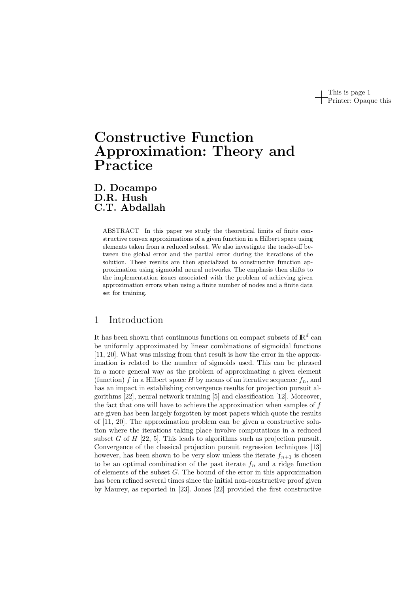This is page 1 Printer: Opaque this

## Constructive Function Approximation: Theory and Practice

D. Docampo D.R. Hush C.T. Abdallah

> ABSTRACT In this paper we study the theoretical limits of finite constructive convex approximations of a given function in a Hilbert space using elements taken from a reduced subset. We also investigate the trade-off between the global error and the partial error during the iterations of the solution. These results are then specialized to constructive function approximation using sigmoidal neural networks. The emphasis then shifts to the implementation issues associated with the problem of achieving given approximation errors when using a finite number of nodes and a finite data set for training.

## 1 Introduction

It has been shown that continuous functions on compact subsets of  $\mathbb{R}^d$  can be uniformly approximated by linear combinations of sigmoidal functions [11, 20]. What was missing from that result is how the error in the approximation is related to the number of sigmoids used. This can be phrased in a more general way as the problem of approximating a given element (function) f in a Hilbert space H by means of an iterative sequence  $f_n$ , and has an impact in establishing convergence results for projection pursuit algorithms [22], neural network training [5] and classification [12]. Moreover, the fact that one will have to achieve the approximation when samples of f are given has been largely forgotten by most papers which quote the results of [11, 20]. The approximation problem can be given a constructive solution where the iterations taking place involve computations in a reduced subset G of H  $[22, 5]$ . This leads to algorithms such as projection pursuit. Convergence of the classical projection pursuit regression techniques [13] however, has been shown to be very slow unless the iterate  $f_{n+1}$  is chosen to be an optimal combination of the past iterate  $f_n$  and a ridge function of elements of the subset G. The bound of the error in this approximation has been refined several times since the initial non-constructive proof given by Maurey, as reported in [23]. Jones [22] provided the first constructive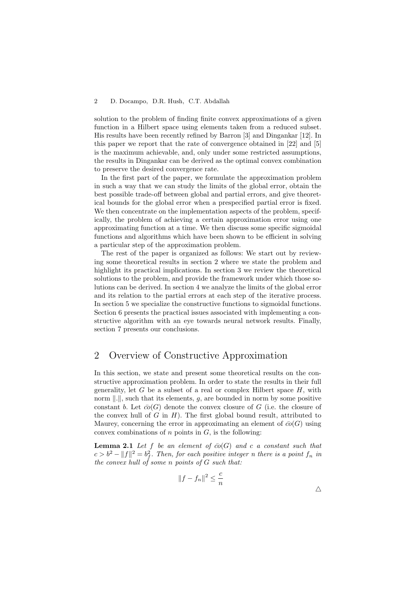solution to the problem of finding finite convex approximations of a given function in a Hilbert space using elements taken from a reduced subset. His results have been recently refined by Barron [3] and Dingankar [12]. In this paper we report that the rate of convergence obtained in [22] and [5] is the maximum achievable, and, only under some restricted assumptions, the results in Dingankar can be derived as the optimal convex combination to preserve the desired convergence rate.

In the first part of the paper, we formulate the approximation problem in such a way that we can study the limits of the global error, obtain the best possible trade-off between global and partial errors, and give theoretical bounds for the global error when a prespecified partial error is fixed. We then concentrate on the implementation aspects of the problem, specifically, the problem of achieving a certain approximation error using one approximating function at a time. We then discuss some specific sigmoidal functions and algorithms which have been shown to be efficient in solving a particular step of the approximation problem.

The rest of the paper is organized as follows: We start out by reviewing some theoretical results in section 2 where we state the problem and highlight its practical implications. In section 3 we review the theoretical solutions to the problem, and provide the framework under which those solutions can be derived. In section 4 we analyze the limits of the global error and its relation to the partial errors at each step of the iterative process. In section 5 we specialize the constructive functions to sigmoidal functions. Section 6 presents the practical issues associated with implementing a constructive algorithm with an eye towards neural network results. Finally, section 7 presents our conclusions.

## 2 Overview of Constructive Approximation

In this section, we state and present some theoretical results on the constructive approximation problem. In order to state the results in their full generality, let  $G$  be a subset of a real or complex Hilbert space  $H$ , with norm  $\|.\|$ , such that its elements, g, are bounded in norm by some positive constant b. Let  $\bar{co}(G)$  denote the convex closure of G (i.e. the closure of the convex hull of  $G$  in  $H$ ). The first global bound result, attributed to Maurey, concerning the error in approximating an element of  $\bar{co}(G)$  using convex combinations of  $n$  points in  $G$ , is the following:

**Lemma 2.1** Let f be an element of  $\overline{co}(G)$  and c a constant such that  $c > b^2 - ||f||^2 = b_f^2$ . Then, for each positive integer n there is a point  $f_n$  in the convex hull of some n points of G such that:

$$
||f - f_n||^2 \le \frac{c}{n}
$$

 $\triangle$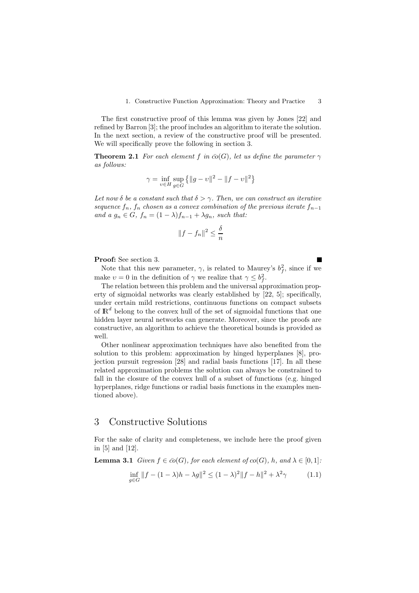The first constructive proof of this lemma was given by Jones [22] and refined by Barron [3]; the proof includes an algorithm to iterate the solution. In the next section, a review of the constructive proof will be presented. We will specifically prove the following in section 3.

**Theorem 2.1** For each element f in  $\bar{co}(G)$ , let us define the parameter  $\gamma$ as follows:

$$
\gamma = \inf_{v \in H} \sup_{g \in G} \{ ||g - v||^2 - ||f - v||^2 \}
$$

Let now  $\delta$  be a constant such that  $\delta > \gamma$ . Then, we can construct an iterative sequence  $f_n$ ,  $f_n$  chosen as a convex combination of the previous iterate  $f_{n-1}$ and a  $g_n \in G$ ,  $f_n = (1 - \lambda)f_{n-1} + \lambda g_n$ , such that:

$$
||f - f_n||^2 \le \frac{\delta}{n}
$$

Proof: See section 3.

Note that this new parameter,  $\gamma$ , is related to Maurey's  $b_f^2$ , since if we make  $v = 0$  in the definition of  $\gamma$  we realize that  $\gamma \leq b_f^2$ .

П

The relation between this problem and the universal approximation property of sigmoidal networks was clearly established by [22, 5]; specifically, under certain mild restrictions, continuous functions on compact subsets of  $\mathbb{R}^d$  belong to the convex hull of the set of sigmoidal functions that one hidden layer neural networks can generate. Moreover, since the proofs are constructive, an algorithm to achieve the theoretical bounds is provided as well.

Other nonlinear approximation techniques have also benefited from the solution to this problem: approximation by hinged hyperplanes [8], projection pursuit regression [28] and radial basis functions [17]. In all these related approximation problems the solution can always be constrained to fall in the closure of the convex hull of a subset of functions (e.g. hinged hyperplanes, ridge functions or radial basis functions in the examples mentioned above).

## 3 Constructive Solutions

For the sake of clarity and completeness, we include here the proof given in [5] and [12].

**Lemma 3.1** Given  $f \in \overline{co}(G)$ , for each element of  $co(G)$ , h, and  $\lambda \in [0,1]$ :

$$
\inf_{g \in G} ||f - (1 - \lambda)h - \lambda g||^2 \le (1 - \lambda)^2 ||f - h||^2 + \lambda^2 \gamma \tag{1.1}
$$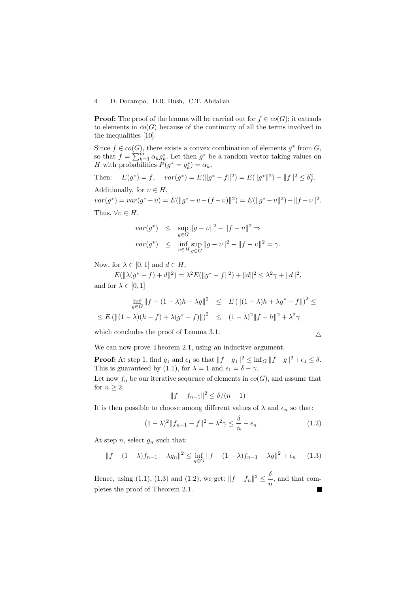**Proof:** The proof of the lemma will be carried out for  $f \in co(G)$ ; it extends to elements in  $\bar{co}(G)$  because of the continuity of all the terms involved in the inequalities [10].

Since  $f \in co(G)$ , there exists a convex combination of elements  $g^*$  from  $G$ , so that  $f = \sum_{k=1}^{m} \alpha_k g_k^*$ . Let then  $g^*$  be a random vector taking values on H with probabilities  $P(g^* = g_k^*) = \alpha_k$ .

Then: 
$$
E(g^*) = f
$$
,  $var(g^*) = E(||g^* - f||^2) = E(||g^*||^2) - ||f||^2 \le b_f^2$ .  
Additionally, for  $v \in H$ ,

 $var(g^*) = var(g^* - v) = E(||g^* - v - (f - v)||^2) = E(||g^* - v||^2) - ||f - v||^2.$ Thus,  $\forall v \in H$ ,

$$
var(g^*) \leq \sup_{g \in G} ||g - v||^2 - ||f - v||^2 \Rightarrow
$$
  

$$
var(g^*) \leq \inf_{v \in H} \sup_{g \in G} ||g - v||^2 - ||f - v||^2 = \gamma.
$$

Now, for  $\lambda \in [0, 1]$  and  $d \in H$ ,

 $E(||\lambda(g^* - f) + d||^2) = \lambda^2 E(||g^* - f||^2) + ||d||^2 \leq \lambda^2 \gamma + ||d||^2,$ and for  $\lambda \in [0, 1]$ 

$$
\inf_{g \in G} ||f - (1 - \lambda)h - \lambda g||^2 \le E (||(1 - \lambda)h + \lambda g^* - f||)^2 \le
$$
  

$$
\le E (||(1 - \lambda)(h - f) + \lambda (g^* - f)||)^2 \le (1 - \lambda)^2 ||f - h||^2 + \lambda^2 \gamma
$$

which concludes the proof of Lemma 3.1.

$$
\overline{\wedge}
$$

We can now prove Theorem 2.1, using an inductive argument.

**Proof:** At step 1, find  $g_1$  and  $\epsilon_1$  so that  $||f - g_1||^2 \leq \inf_G ||f - g||^2 + \epsilon_1 \leq \delta$ . This is guaranteed by (1.1), for  $\lambda = 1$  and  $\epsilon_1 = \delta - \gamma$ .

Let now  $f_n$  be our iterative sequence of elements in  $co(G)$ , and assume that for  $n > 2$ ,

$$
||f - f_{n-1}||^2 \le \delta/(n-1)
$$

It is then possible to choose among different values of  $\lambda$  and  $\epsilon_n$  so that:

$$
(1 - \lambda)^2 \|f_{n-1} - f\|^2 + \lambda^2 \gamma \le \frac{\delta}{n} - \epsilon_n \tag{1.2}
$$

At step n, select  $g_n$  such that:

$$
||f - (1 - \lambda)f_{n-1} - \lambda g_n||^2 \le \inf_{g \in G} ||f - (1 - \lambda)f_{n-1} - \lambda g||^2 + \epsilon_n \qquad (1.3)
$$

Hence, using (1.1), (1.3) and (1.2), we get:  $||f - f_n||^2 \le \frac{\delta}{n}$  $\frac{1}{n}$ , and that completes the proof of Theorem 2.1. $\blacksquare$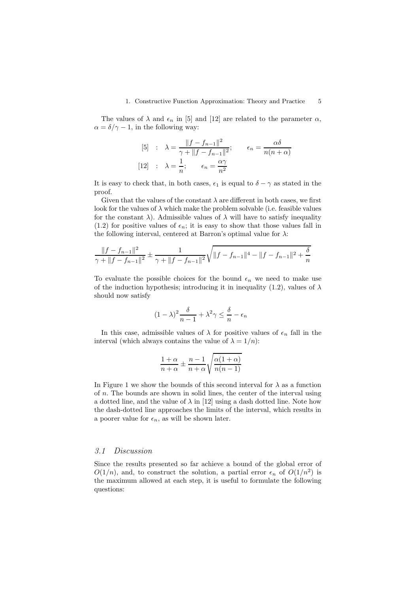#### 1. Constructive Function Approximation: Theory and Practice 5

The values of  $\lambda$  and  $\epsilon_n$  in [5] and [12] are related to the parameter  $\alpha$ ,  $\alpha = \delta/\gamma - 1$ , in the following way:

$$
[5] : \lambda = \frac{\|f - f_{n-1}\|^2}{\gamma + \|f - f_{n-1}\|^2}; \qquad \epsilon_n = \frac{\alpha \delta}{n(n + \alpha)}
$$

$$
[12] : \lambda = \frac{1}{n}; \qquad \epsilon_n = \frac{\alpha \gamma}{n^2}
$$

It is easy to check that, in both cases,  $\epsilon_1$  is equal to  $\delta - \gamma$  as stated in the proof.

Given that the values of the constant  $\lambda$  are different in both cases, we first look for the values of  $\lambda$  which make the problem solvable (i.e. feasible values for the constant  $\lambda$ ). Admissible values of  $\lambda$  will have to satisfy inequality (1.2) for positive values of  $\epsilon_n$ ; it is easy to show that those values fall in the following interval, centered at Barron's optimal value for  $\lambda$ :

$$
\frac{\|f - f_{n-1}\|^2}{\gamma + \|f - f_{n-1}\|^2} \pm \frac{1}{\gamma + \|f - f_{n-1}\|^2} \sqrt{\|f - f_{n-1}\|^4 - \|f - f_{n-1}\|^2 + \frac{\delta}{n}}
$$

To evaluate the possible choices for the bound  $\epsilon_n$  we need to make use of the induction hypothesis; introducing it in inequality (1.2), values of  $\lambda$ should now satisfy

$$
(1 - \lambda)^2 \frac{\delta}{n - 1} + \lambda^2 \gamma \le \frac{\delta}{n} - \epsilon_n
$$

In this case, admissible values of  $\lambda$  for positive values of  $\epsilon_n$  fall in the interval (which always contains the value of  $\lambda = 1/n$ ):

$$
\frac{1+\alpha}{n+\alpha} \pm \frac{n-1}{n+\alpha} \sqrt{\frac{\alpha(1+\alpha)}{n(n-1)}}
$$

In Figure 1 we show the bounds of this second interval for  $\lambda$  as a function of n. The bounds are shown in solid lines, the center of the interval using a dotted line, and the value of  $\lambda$  in [12] using a dash dotted line. Note how the dash-dotted line approaches the limits of the interval, which results in a poorer value for  $\epsilon_n$ , as will be shown later.

#### 3.1 Discussion

Since the results presented so far achieve a bound of the global error of  $O(1/n)$ , and, to construct the solution, a partial error  $\epsilon_n$  of  $O(1/n^2)$  is the maximum allowed at each step, it is useful to formulate the following questions: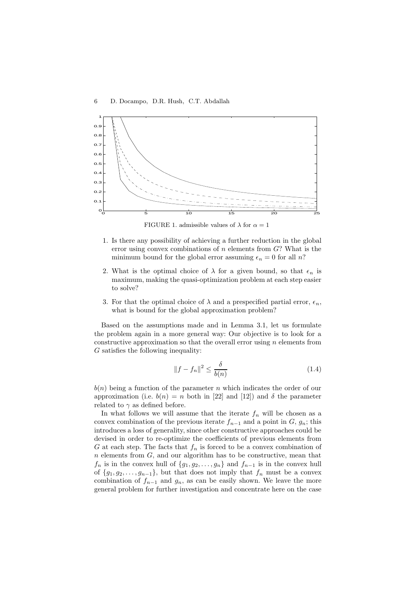

FIGURE 1. admissible values of  $\lambda$  for  $\alpha = 1$ 

- 1. Is there any possibility of achieving a further reduction in the global error using convex combinations of  $n$  elements from  $G$ ? What is the minimum bound for the global error assuming  $\epsilon_n = 0$  for all n?
- 2. What is the optimal choice of  $\lambda$  for a given bound, so that  $\epsilon_n$  is maximum, making the quasi-optimization problem at each step easier to solve?
- 3. For that the optimal choice of  $\lambda$  and a prespecified partial error,  $\epsilon_n$ , what is bound for the global approximation problem?

Based on the assumptions made and in Lemma 3.1, let us formulate the problem again in a more general way: Our objective is to look for a constructive approximation so that the overall error using  $n$  elements from G satisfies the following inequality:

$$
||f - f_n||^2 \le \frac{\delta}{b(n)}\tag{1.4}
$$

 $b(n)$  being a function of the parameter n which indicates the order of our approximation (i.e.  $b(n) = n$  both in [22] and [12]) and  $\delta$  the parameter related to  $\gamma$  as defined before.

In what follows we will assume that the iterate  $f_n$  will be chosen as a convex combination of the previous iterate  $f_{n-1}$  and a point in  $G, g_n$ ; this introduces a loss of generality, since other constructive approaches could be devised in order to re-optimize the coefficients of previous elements from G at each step. The facts that  $f_n$  is forced to be a convex combination of  $n$  elements from  $G$ , and our algorithm has to be constructive, mean that  $f_n$  is in the convex hull of  $\{g_1, g_2, \ldots, g_n\}$  and  $f_{n-1}$  is in the convex hull of  ${g_1, g_2, \ldots, g_{n-1}}$ , but that does not imply that  $f_n$  must be a convex combination of  $f_{n-1}$  and  $g_n$ , as can be easily shown. We leave the more general problem for further investigation and concentrate here on the case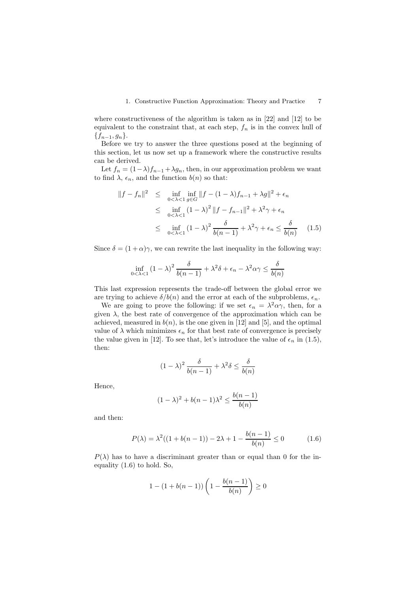where constructiveness of the algorithm is taken as in [22] and [12] to be equivalent to the constraint that, at each step,  $f_n$  is in the convex hull of  ${f_{n-1}, g_n}.$ 

Before we try to answer the three questions posed at the beginning of this section, let us now set up a framework where the constructive results can be derived.

Let  $f_n = (1 - \lambda)f_{n-1} + \lambda g_n$ , then, in our approximation problem we want to find  $\lambda$ ,  $\epsilon_n$ , and the function  $b(n)$  so that:

$$
||f - f_n||^2 \le \inf_{0 < \lambda < 1} \inf_{g \in G} ||f - (1 - \lambda)f_{n-1} + \lambda g||^2 + \epsilon_n
$$
  
\n
$$
\le \inf_{0 < \lambda < 1} (1 - \lambda)^2 ||f - f_{n-1}||^2 + \lambda^2 \gamma + \epsilon_n
$$
  
\n
$$
\le \inf_{0 < \lambda < 1} (1 - \lambda)^2 \frac{\delta}{b(n-1)} + \lambda^2 \gamma + \epsilon_n \le \frac{\delta}{b(n)} \quad (1.5)
$$

Since  $\delta = (1 + \alpha)\gamma$ , we can rewrite the last inequality in the following way:

$$
\inf_{0 < \lambda < 1} (1 - \lambda)^2 \frac{\delta}{b(n-1)} + \lambda^2 \delta + \epsilon_n - \lambda^2 \alpha \gamma \le \frac{\delta}{b(n)}
$$

This last expression represents the trade-off between the global error we are trying to achieve  $\delta/b(n)$  and the error at each of the subproblems,  $\epsilon_n$ .

We are going to prove the following: if we set  $\epsilon_n = \lambda^2 \alpha \gamma$ , then, for a given  $\lambda$ , the best rate of convergence of the approximation which can be achieved, measured in  $b(n)$ , is the one given in [12] and [5], and the optimal value of  $\lambda$  which minimizes  $\epsilon_n$  for that best rate of convergence is precisely the value given in [12]. To see that, let's introduce the value of  $\epsilon_n$  in (1.5), then:

$$
(1 - \lambda)^2 \frac{\delta}{b(n-1)} + \lambda^2 \delta \le \frac{\delta}{b(n)}
$$

Hence,

$$
(1 - \lambda)^2 + b(n - 1)\lambda^2 \le \frac{b(n - 1)}{b(n)}
$$

and then:

$$
P(\lambda) = \lambda^2 ((1 + b(n - 1)) - 2\lambda + 1 - \frac{b(n - 1)}{b(n)} \le 0
$$
 (1.6)

 $P(\lambda)$  has to have a discriminant greater than or equal than 0 for the inequality (1.6) to hold. So,

$$
1 - (1 + b(n - 1)) \left( 1 - \frac{b(n - 1)}{b(n)} \right) \ge 0
$$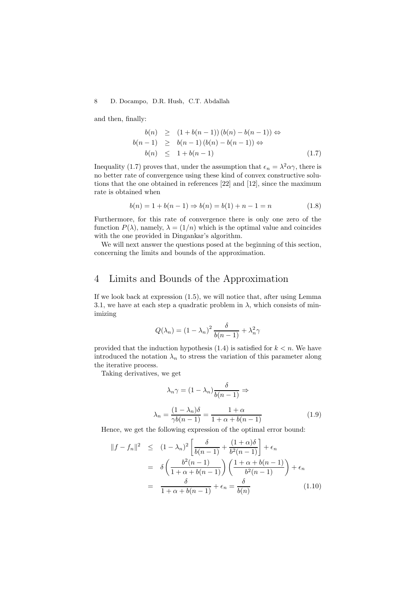and then, finally:

$$
b(n) \geq (1 + b(n - 1))(b(n) - b(n - 1)) \Leftrightarrow
$$
  
\n
$$
b(n - 1) \geq b(n - 1)(b(n) - b(n - 1)) \Leftrightarrow
$$
  
\n
$$
b(n) \leq 1 + b(n - 1) \tag{1.7}
$$

Inequality (1.7) proves that, under the assumption that  $\epsilon_n = \lambda^2 \alpha \gamma$ , there is no better rate of convergence using these kind of convex constructive solutions that the one obtained in references [22] and [12], since the maximum rate is obtained when

$$
b(n) = 1 + b(n - 1) \Rightarrow b(n) = b(1) + n - 1 = n \tag{1.8}
$$

Furthermore, for this rate of convergence there is only one zero of the function  $P(\lambda)$ , namely,  $\lambda = (1/n)$  which is the optimal value and coincides with the one provided in Dingankar's algorithm.

We will next answer the questions posed at the beginning of this section, concerning the limits and bounds of the approximation.

## 4 Limits and Bounds of the Approximation

If we look back at expression (1.5), we will notice that, after using Lemma 3.1, we have at each step a quadratic problem in  $\lambda$ , which consists of minimizing

$$
Q(\lambda_n) = (1 - \lambda_n)^2 \frac{\delta}{b(n-1)} + \lambda_n^2 \gamma
$$

provided that the induction hypothesis  $(1.4)$  is satisfied for  $k < n$ . We have introduced the notation  $\lambda_n$  to stress the variation of this parameter along the iterative process.

Taking derivatives, we get

$$
\lambda_n \gamma = (1 - \lambda_n) \frac{\delta}{b(n-1)} \Rightarrow
$$
  

$$
\lambda_n = \frac{(1 - \lambda_n)\delta}{\gamma b(n-1)} = \frac{1 + \alpha}{1 + \alpha + b(n-1)}
$$
(1.9)

Hence, we get the following expression of the optimal error bound:

$$
||f - f_n||^2 \le (1 - \lambda_n)^2 \left[ \frac{\delta}{b(n-1)} + \frac{(1+\alpha)\delta}{b^2(n-1)} \right] + \epsilon_n
$$
  
= 
$$
\delta \left( \frac{b^2(n-1)}{1+\alpha+b(n-1)} \right) \left( \frac{1+\alpha+b(n-1)}{b^2(n-1)} \right) + \epsilon_n
$$
  
= 
$$
\frac{\delta}{1+\alpha+b(n-1)} + \epsilon_n = \frac{\delta}{b(n)}
$$
(1.10)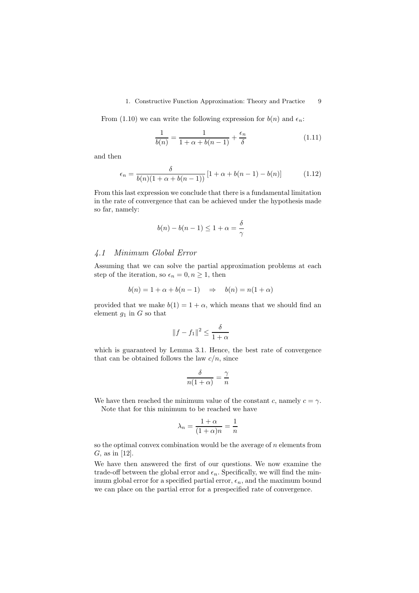#### 1. Constructive Function Approximation: Theory and Practice 9

From (1.10) we can write the following expression for  $b(n)$  and  $\epsilon_n$ :

$$
\frac{1}{b(n)} = \frac{1}{1+\alpha+b(n-1)} + \frac{\epsilon_n}{\delta} \tag{1.11}
$$

and then

$$
\epsilon_n = \frac{\delta}{b(n)(1 + \alpha + b(n-1))} [1 + \alpha + b(n-1) - b(n)] \tag{1.12}
$$

From this last expression we conclude that there is a fundamental limitation in the rate of convergence that can be achieved under the hypothesis made so far, namely:

$$
b(n) - b(n-1) \le 1 + \alpha = \frac{\delta}{\gamma}
$$

#### 4.1 Minimum Global Error

Assuming that we can solve the partial approximation problems at each step of the iteration, so  $\epsilon_n = 0, n \geq 1$ , then

$$
b(n) = 1 + \alpha + b(n - 1) \quad \Rightarrow \quad b(n) = n(1 + \alpha)
$$

provided that we make  $b(1) = 1 + \alpha$ , which means that we should find an element  $g_1$  in G so that

$$
||f - f_1||^2 \le \frac{\delta}{1 + \alpha}
$$

which is guaranteed by Lemma 3.1. Hence, the best rate of convergence that can be obtained follows the law  $c/n$ , since

$$
\frac{\delta}{n(1+\alpha)} = \frac{\gamma}{n}
$$

We have then reached the minimum value of the constant c, namely  $c = \gamma$ . Note that for this minimum to be reached we have

$$
\lambda_n = \frac{1+\alpha}{(1+\alpha)n} = \frac{1}{n}
$$

so the optimal convex combination would be the average of  $n$  elements from  $G$ , as in [12].

We have then answered the first of our questions. We now examine the trade-off between the global error and  $\epsilon_n$ . Specifically, we will find the minimum global error for a specified partial error,  $\epsilon_n$ , and the maximum bound we can place on the partial error for a prespecified rate of convergence.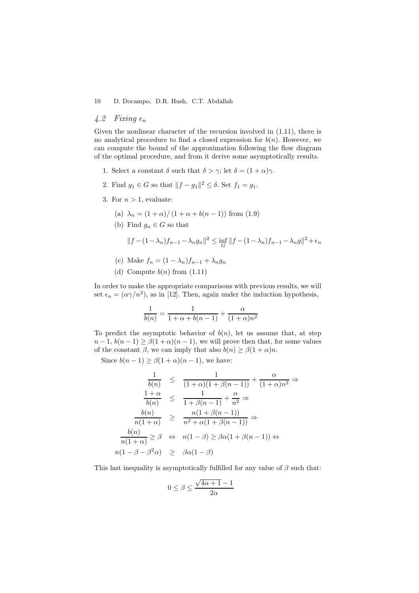#### 4.2 Fixing  $\epsilon_n$

Given the nonlinear character of the recursion involved in (1.11), there is no analytical procedure to find a closed expression for  $b(n)$ . However, we can compute the bound of the approximation following the flow diagram of the optimal procedure, and from it derive some asymptotically results.

- 1. Select a constant  $\delta$  such that  $\delta > \gamma$ ; let  $\delta = (1 + \alpha)\gamma$ .
- 2. Find  $g_1 \in G$  so that  $||f g_1||^2 \le \delta$ . Set  $f_1 = g_1$ .
- 3. For  $n > 1$ , evaluate:

(a) 
$$
\lambda_n = (1 + \alpha) / (1 + \alpha + b(n - 1))
$$
 from (1.9)

(b) Find  $g_n \in G$  so that

$$
||f - (1 - \lambda_n)f_{n-1} - \lambda_n g_n||^2 \le \inf_G ||f - (1 - \lambda_n)f_{n-1} - \lambda_n g||^2 + \epsilon_n
$$

- (c) Make  $f_n = (1 \lambda_n)f_{n-1} + \lambda_n g_n$
- (d) Compute  $b(n)$  from  $(1.11)$

In order to make the appropriate comparisons with previous results, we will set  $\epsilon_n = (\alpha \gamma/n^2)$ , as in [12]. Then, again under the induction hypothesis,

$$
\frac{1}{b(n)} = \frac{1}{1 + \alpha + b(n-1)} + \frac{\alpha}{(1 + \alpha)n^2}
$$

To predict the asymptotic behavior of  $b(n)$ , let us assume that, at step  $n-1, b(n-1) \geq \beta(1+\alpha)(n-1)$ , we will prove then that, for some values of the constant  $\beta$ , we can imply that also  $b(n) \geq \beta(1+\alpha)n$ .

Since  $b(n-1) \geq \beta(1+\alpha)(n-1)$ , we have:

$$
\frac{1}{b(n)} \leq \frac{1}{(1+\alpha)(1+\beta(n-1))} + \frac{\alpha}{(1+\alpha)n^2} \Rightarrow
$$
  

$$
\frac{1+\alpha}{b(n)} \leq \frac{1}{1+\beta(n-1)} + \frac{\alpha}{n^2} \Rightarrow
$$
  

$$
\frac{b(n)}{n(1+\alpha)} \geq \frac{n(1+\beta(n-1))}{n^2+\alpha(1+\beta(n-1))} \Rightarrow
$$
  

$$
\frac{b(n)}{n(1+\alpha)} \geq \beta \iff n(1-\beta) \geq \beta\alpha(1+\beta(n-1)) \Leftrightarrow
$$
  

$$
n(1-\beta-\beta^2\alpha) \geq \beta\alpha(1-\beta)
$$

This last inequality is asymptotically fulfilled for any value of  $\beta$  such that:

$$
0\leq \beta\leq \frac{\sqrt{4\alpha+1}-1}{2\alpha}
$$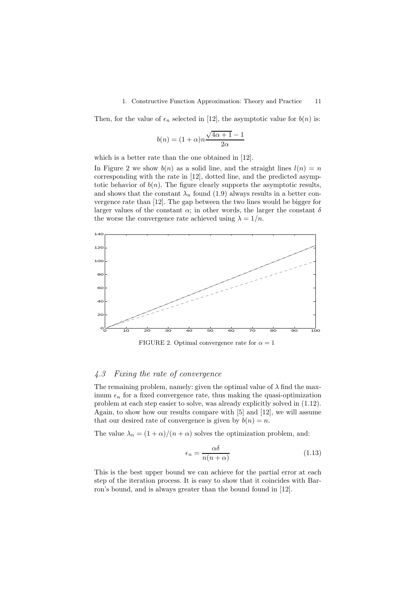#### 1. Constructive Function Approximation: Theory and Practice 11

Then, for the value of  $\epsilon_n$  selected in [12], the asymptotic value for  $b(n)$  is:

$$
b(n) = (1+\alpha)n \frac{\sqrt{4\alpha+1} - 1}{2\alpha}
$$

which is a better rate than the one obtained in [12].

In Figure 2 we show  $b(n)$  as a solid line, and the straight lines  $l(n) = n$ corresponding with the rate in [12], dotted line, and the predicted asymptotic behavior of  $b(n)$ . The figure clearly supports the asymptotic results, and shows that the constant  $\lambda_n$  found (1.9) always results in a better convergence rate than [12]. The gap between the two lines would be bigger for larger values of the constant  $\alpha$ ; in other words, the larger the constant  $\delta$ the worse the convergence rate achieved using  $\lambda = 1/n$ .



FIGURE 2. Optimal convergence rate for  $\alpha = 1$ 

#### 4.3 Fixing the rate of convergence

The remaining problem, namely: given the optimal value of  $\lambda$  find the maximum  $\epsilon_n$  for a fixed convergence rate, thus making the quasi-optimization problem at each step easier to solve, was already explicitly solved in (1.12). Again, to show how our results compare with [5] and [12], we will assume that our desired rate of convergence is given by  $b(n) = n$ .

The value  $\lambda_n = (1 + \alpha)/(n + \alpha)$  solves the optimization problem, and:

$$
\epsilon_n = \frac{\alpha \delta}{n(n+\alpha)}\tag{1.13}
$$

This is the best upper bound we can achieve for the partial error at each step of the iteration process. It is easy to show that it coincides with Barron's bound, and is always greater than the bound found in [12].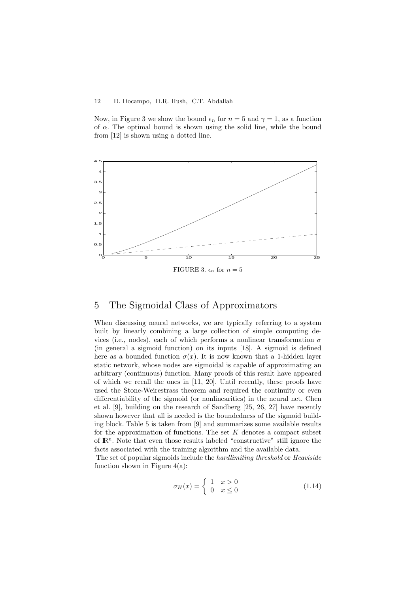Now, in Figure 3 we show the bound  $\epsilon_n$  for  $n = 5$  and  $\gamma = 1$ , as a function of  $\alpha$ . The optimal bound is shown using the solid line, while the bound from [12] is shown using a dotted line.



## 5 The Sigmoidal Class of Approximators

When discussing neural networks, we are typically referring to a system built by linearly combining a large collection of simple computing devices (i.e., nodes), each of which performs a nonlinear transformation  $\sigma$ (in general a sigmoid function) on its inputs [18]. A sigmoid is defined here as a bounded function  $\sigma(x)$ . It is now known that a 1-hidden layer static network, whose nodes are sigmoidal is capable of approximating an arbitrary (continuous) function. Many proofs of this result have appeared of which we recall the ones in [11, 20]. Until recently, these proofs have used the Stone-Weirestrass theorem and required the continuity or even differentiability of the sigmoid (or nonlinearities) in the neural net. Chen et al. [9], building on the research of Sandberg [25, 26, 27] have recently shown however that all is needed is the boundedness of the sigmoid building block. Table 5 is taken from [9] and summarizes some available results for the approximation of functions. The set  $K$  denotes a compact subset of IR<sup>n</sup> . Note that even those results labeled "constructive" still ignore the facts associated with the training algorithm and the available data.

The set of popular sigmoids include the hardlimiting threshold or Heaviside function shown in Figure  $4(a)$ :

$$
\sigma_H(x) = \begin{cases} 1 & x > 0 \\ 0 & x \le 0 \end{cases} \tag{1.14}
$$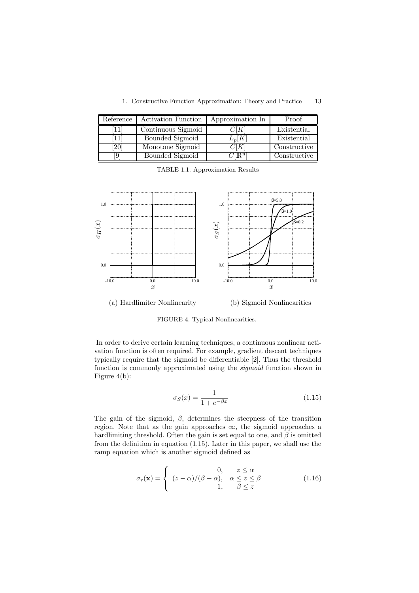|  |  |  |  | 1. Constructive Function Approximation: Theory and Practice | 13 |
|--|--|--|--|-------------------------------------------------------------|----|
|--|--|--|--|-------------------------------------------------------------|----|

| Reference | Activation Function | Approximation In               | Proof        |
|-----------|---------------------|--------------------------------|--------------|
|           | Continuous Sigmoid  | $\mathsf{K}$                   | Existential  |
|           | Bounded Sigmoid     | $L_p[K]$                       | Existential  |
| [20       | Monotone Sigmoid    | $\gamma$ f $K$                 | Constructive |
| 19        | Bounded Sigmoid     | $C(\overline{\mathbb{R}}^{n})$ | Constructive |

TABLE 1.1. Approximation Results



(a) Hardlimiter Nonlinearity (b) Sigmoid Nonlinearities

FIGURE 4. Typical Nonlinearities.

In order to derive certain learning techniques, a continuous nonlinear activation function is often required. For example, gradient descent techniques typically require that the sigmoid be differentiable [2]. Thus the threshold function is commonly approximated using the sigmoid function shown in Figure 4(b):

$$
\sigma_S(x) = \frac{1}{1 + e^{-\beta x}}\tag{1.15}
$$

The gain of the sigmoid,  $\beta$ , determines the steepness of the transition region. Note that as the gain approaches  $\infty$ , the sigmoid approaches a hardlimiting threshold. Often the gain is set equal to one, and  $\beta$  is omitted from the definition in equation (1.15). Later in this paper, we shall use the ramp equation which is another sigmoid defined as

$$
\sigma_r(\mathbf{x}) = \begin{cases}\n0, & z \le \alpha \\
(z - \alpha) / (\beta - \alpha), & \alpha \le z \le \beta \\
1, & \beta \le z\n\end{cases}\n\tag{1.16}
$$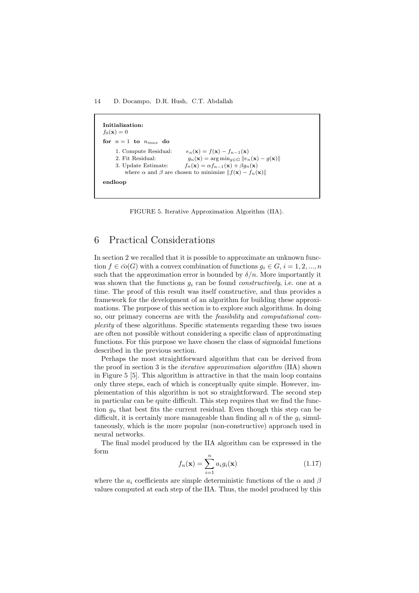14 D. Docampo, D.R. Hush, C.T. Abdallah

Initialization:  $f_0(\mathbf{x}) = 0$ for  $n = 1$  to  $n_{max}$  do 1. Compute Residual:  $e_n(\mathbf{x}) = f(\mathbf{x}) - f_{n-1}(\mathbf{x})$ <br>2. Fit Residual:  $q_n(\mathbf{x}) = \arg \min_{a \in G} ||e_n||$ 2. Fit Residual:  $g_n(\mathbf{x}) = \arg \min_{g \in G} ||e_n(\mathbf{x}) - g(\mathbf{x})||$ <br>3. Update Estimate:  $f_n(\mathbf{x}) = \alpha f_{n-1}(\mathbf{x}) + \beta g_n(\mathbf{x})$  $f_n(\mathbf{x}) = \alpha f_{n-1}(\mathbf{x}) + \beta g_n(\mathbf{x})$ where  $\alpha$  and  $\beta$  are chosen to minimize  $|| f(\mathbf{x}) - f_n(\mathbf{x}) ||$ endloop

FIGURE 5. Iterative Approximation Algorithm (IIA).

## 6 Practical Considerations

In section 2 we recalled that it is possible to approximate an unknown function  $f \in \overline{co}(G)$  with a convex combination of functions  $q_i \in G$ ,  $i = 1, 2, ..., n$ such that the approximation error is bounded by  $\delta/n$ . More importantly it was shown that the functions  $q_i$  can be found *constructively*, i.e. one at a time. The proof of this result was itself constructive, and thus provides a framework for the development of an algorithm for building these approximations. The purpose of this section is to explore such algorithms. In doing so, our primary concerns are with the feasibility and computational complexity of these algorithms. Specific statements regarding these two issues are often not possible without considering a specific class of approximating functions. For this purpose we have chosen the class of sigmoidal functions described in the previous section.

Perhaps the most straightforward algorithm that can be derived from the proof in section 3 is the iterative approximation algorithm (IIA) shown in Figure 5 [5]. This algorithm is attractive in that the main loop contains only three steps, each of which is conceptually quite simple. However, implementation of this algorithm is not so straightforward. The second step in particular can be quite difficult. This step requires that we find the function  $g_n$  that best fits the current residual. Even though this step can be difficult, it is certainly more manageable than finding all n of the  $g_i$  simultaneously, which is the more popular (non-constructive) approach used in neural networks.

The final model produced by the IIA algorithm can be expressed in the form

$$
f_n(\mathbf{x}) = \sum_{i=1}^n a_i g_i(\mathbf{x})
$$
\n(1.17)

where the  $a_i$  coefficients are simple deterministic functions of the  $\alpha$  and  $\beta$ values computed at each step of the IIA. Thus, the model produced by this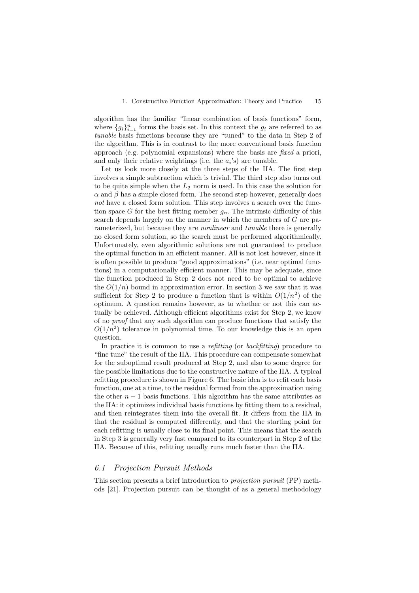algorithm has the familiar "linear combination of basis functions" form, where  ${g_i}_{i=1}^n$  forms the basis set. In this context the  $g_i$  are referred to as tunable basis functions because they are "tuned" to the data in Step 2 of the algorithm. This is in contrast to the more conventional basis function approach (e.g. polynomial expansions) where the basis are fixed a priori, and only their relative weightings (i.e. the  $a_i$ 's) are tunable.

Let us look more closely at the three steps of the IIA. The first step involves a simple subtraction which is trivial. The third step also turns out to be quite simple when the  $L_2$  norm is used. In this case the solution for  $\alpha$  and  $\beta$  has a simple closed form. The second step however, generally does not have a closed form solution. This step involves a search over the function space G for the best fitting member  $q_n$ . The intrinsic difficulty of this search depends largely on the manner in which the members of G are parameterized, but because they are *nonlinear* and *tunable* there is generally no closed form solution, so the search must be performed algorithmically. Unfortunately, even algorithmic solutions are not guaranteed to produce the optimal function in an efficient manner. All is not lost however, since it is often possible to produce "good approximations" (i.e. near optimal functions) in a computationally efficient manner. This may be adequate, since the function produced in Step 2 does not need to be optimal to achieve the  $O(1/n)$  bound in approximation error. In section 3 we saw that it was sufficient for Step 2 to produce a function that is within  $O(1/n^2)$  of the optimum. A question remains however, as to whether or not this can actually be achieved. Although efficient algorithms exist for Step 2, we know of no proof that any such algorithm can produce functions that satisfy the  $O(1/n^2)$  tolerance in polynomial time. To our knowledge this is an open question.

In practice it is common to use a *refitting* (or *backfitting*) procedure to "fine tune" the result of the IIA. This procedure can compensate somewhat for the suboptimal result produced at Step 2, and also to some degree for the possible limitations due to the constructive nature of the IIA. A typical refitting procedure is shown in Figure 6. The basic idea is to refit each basis function, one at a time, to the residual formed from the approximation using the other  $n-1$  basis functions. This algorithm has the same attributes as the IIA: it optimizes individual basis functions by fitting them to a residual, and then reintegrates them into the overall fit. It differs from the IIA in that the residual is computed differently, and that the starting point for each refitting is usually close to its final point. This means that the search in Step 3 is generally very fast compared to its counterpart in Step 2 of the IIA. Because of this, refitting usually runs much faster than the IIA.

#### 6.1 Projection Pursuit Methods

This section presents a brief introduction to projection pursuit (PP) methods [21]. Projection pursuit can be thought of as a general methodology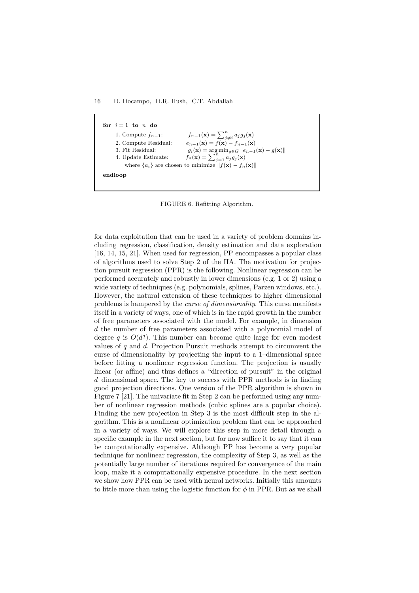for  $i = 1$  to n do 1. Compute  $f_{n-1}$ :  $\sum_{j\neq i}^na_jg_j(\mathbf{x})$ 2. Compute Residual:  $e_{n-1}(\mathbf{x}) = f(\mathbf{x}) - f_{n-1}(\mathbf{x})$ 3. Fit Residual:  $g_i(\mathbf{x}) = \arg \min_{g \in G} ||e_{n-1}(\mathbf{x}) - g(\mathbf{x})||$ <br>4. Update Estimate:  $f_n(\mathbf{x}) = \sum_{j=1}^n a_j g_j(\mathbf{x})$ 4. Update Estimate: where  ${a_i}$  are chosen to minimize  $|| f(\mathbf{x}) - f_n(\mathbf{x})||$ endloop

FIGURE 6. Refitting Algorithm.

for data exploitation that can be used in a variety of problem domains including regression, classification, density estimation and data exploration [16, 14, 15, 21]. When used for regression, PP encompasses a popular class of algorithms used to solve Step 2 of the IIA. The motivation for projection pursuit regression (PPR) is the following. Nonlinear regression can be performed accurately and robustly in lower dimensions (e.g. 1 or 2) using a wide variety of techniques (e.g. polynomials, splines, Parzen windows, etc.). However, the natural extension of these techniques to higher dimensional problems is hampered by the curse of dimensionality. This curse manifests itself in a variety of ways, one of which is in the rapid growth in the number of free parameters associated with the model. For example, in dimension d the number of free parameters associated with a polynomial model of degree q is  $O(d<sup>q</sup>)$ . This number can become quite large for even modest values of  $q$  and  $d$ . Projection Pursuit methods attempt to circumvent the curse of dimensionality by projecting the input to a 1–dimensional space before fitting a nonlinear regression function. The projection is usually linear (or affine) and thus defines a "direction of pursuit" in the original d–dimensional space. The key to success with PPR methods is in finding good projection directions. One version of the PPR algorithm is shown in Figure 7 [21]. The univariate fit in Step 2 can be performed using any number of nonlinear regression methods (cubic splines are a popular choice). Finding the new projection in Step 3 is the most difficult step in the algorithm. This is a nonlinear optimization problem that can be approached in a variety of ways. We will explore this step in more detail through a specific example in the next section, but for now suffice it to say that it can be computationally expensive. Although PP has become a very popular technique for nonlinear regression, the complexity of Step 3, as well as the potentially large number of iterations required for convergence of the main loop, make it a computationally expensive procedure. In the next section we show how PPR can be used with neural networks. Initially this amounts to little more than using the logistic function for  $\phi$  in PPR. But as we shall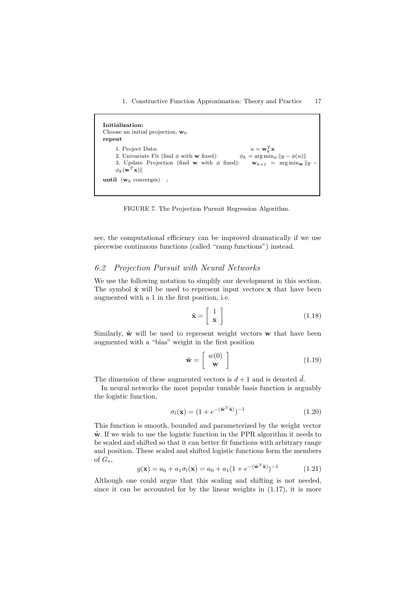1. Constructive Function Approximation: Theory and Practice 17

```
Initialization:
Choose an initial projection, w_0repeat
      1. Project Data:
                                                                              _k^Tx
      2. Univariate Fit (find \phi with w fixed): \phi_k = \arg \min_{\phi} ||y - \phi(u)||3. Update Projection (find w with \phi fixed): \mathbf{w}_{k+1} = \arg\min_{\mathbf{w}} ||y||\phi_k(\mathbf{w}^T\mathbf{x})until (\mathbf{w}_k \text{ converges});
```
FIGURE 7. The Projection Pursuit Regression Algorithm.

see, the computational efficiency can be improved dramatically if we use piecewise continuous functions (called "ramp functions") instead.

#### 6.2 Projection Pursuit with Neural Networks

We use the following notation to simplify our development in this section. The symbol  $\tilde{\mathbf{x}}$  will be used to represent input vectors  $\mathbf{x}$  that have been augmented with a 1 in the first position, i.e.

$$
\tilde{\mathbf{x}} = \begin{bmatrix} 1 \\ \mathbf{x} \end{bmatrix} \tag{1.18}
$$

Similarly,  $\tilde{\mathbf{w}}$  will be used to represent weight vectors  $\mathbf{w}$  that have been augmented with a "bias" weight in the first position

$$
\tilde{\mathbf{w}} = \left[ \begin{array}{c} w(0) \\ \mathbf{w} \end{array} \right] \tag{1.19}
$$

The dimension of these augmented vectors is  $d+1$  and is denoted  $\tilde{d}$ .

In neural networks the most popular tunable basis function is arguably the logistic function,

$$
\sigma_l(\mathbf{x}) = (1 + e^{-(\tilde{\mathbf{w}}^T \tilde{\mathbf{x}})})^{-1}
$$
\n(1.20)

This function is smooth, bounded and parameterized by the weight vector  $\tilde{\mathbf{w}}$ . If we wish to use the logistic function in the PPR algorithm it needs to be scaled and shifted so that it can better fit functions with arbitrary range and position. These scaled and shifted logistic functions form the members of  $G_s$ ,

$$
g(\mathbf{x}) = a_0 + a_1 \sigma_l(\mathbf{x}) = a_0 + a_1 (1 + e^{-(\tilde{\mathbf{w}}^T \tilde{\mathbf{x}})})^{-1}
$$
(1.21)

Although one could argue that this scaling and shifting is not needed, since it can be accounted for by the linear weights in  $(1.17)$ , it is more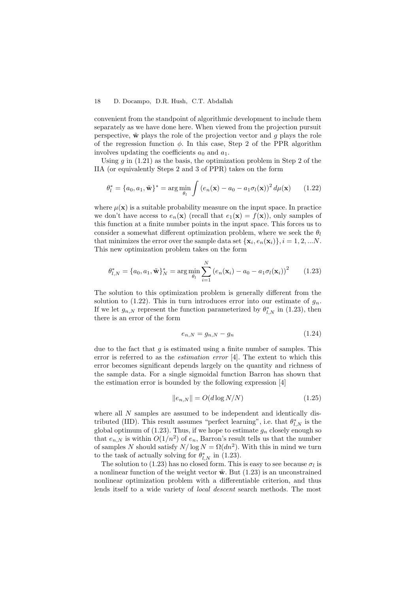convenient from the standpoint of algorithmic development to include them separately as we have done here. When viewed from the projection pursuit perspective,  $\tilde{\mathbf{w}}$  plays the role of the projection vector and q plays the role of the regression function  $\phi$ . In this case, Step 2 of the PPR algorithm involves updating the coefficients  $a_0$  and  $a_1$ .

Using  $g$  in  $(1.21)$  as the basis, the optimization problem in Step 2 of the IIA (or equivalently Steps 2 and 3 of PPR) takes on the form

$$
\theta_l^* = \{a_0, a_1, \tilde{\mathbf{w}}\}^* = \arg\min_{\theta_l} \int \left(e_n(\mathbf{x}) - a_0 - a_1 \sigma_l(\mathbf{x})\right)^2 d\mu(\mathbf{x}) \qquad (1.22)
$$

where  $\mu(\mathbf{x})$  is a suitable probability measure on the input space. In practice we don't have access to  $e_n(\mathbf{x})$  (recall that  $e_1(\mathbf{x}) = f(\mathbf{x})$ ), only samples of this function at a finite number points in the input space. This forces us to consider a somewhat different optimization problem, where we seek the  $\theta_l$ that minimizes the error over the sample data set  $\{\mathbf{x}_i, e_n(\mathbf{x}_i)\}, i = 1, 2, ...N$ . This new optimization problem takes on the form

$$
\theta_{l,N}^* = \{a_0, a_1, \tilde{\mathbf{w}}\}_N^* = \arg\min_{\theta_l} \sum_{i=1}^N \left(e_n(\mathbf{x}_i) - a_0 - a_1 \sigma_l(\mathbf{x}_i)\right)^2 \tag{1.23}
$$

The solution to this optimization problem is generally different from the solution to (1.22). This in turn introduces error into our estimate of  $g_n$ . If we let  $g_{n,N}$  represent the function parameterized by  $\theta_{l,N}^*$  in (1.23), then there is an error of the form

$$
e_{n,N} = g_{n,N} - g_n \tag{1.24}
$$

due to the fact that  $q$  is estimated using a finite number of samples. This error is referred to as the estimation error [4]. The extent to which this error becomes significant depends largely on the quantity and richness of the sample data. For a single sigmoidal function Barron has shown that the estimation error is bounded by the following expression [4]

$$
||e_{n,N}|| = O(d \log N/N) \tag{1.25}
$$

where all  $N$  samples are assumed to be independent and identically distributed (IID). This result assumes "perfect learning", i.e. that  $\theta_{l,N}^*$  is the global optimum of (1.23). Thus, if we hope to estimate  $g_n$  closely enough so that  $e_{n,N}$  is within  $O(1/n^2)$  of  $e_n$ , Barron's result tells us that the number of samples N should satisfy  $N/\log N = \Omega(dn^2)$ . With this in mind we turn to the task of actually solving for  $\theta_{l,N}^*$  in (1.23).

The solution to (1.23) has no closed form. This is easy to see because  $\sigma_l$  is a nonlinear function of the weight vector  $\tilde{\mathbf{w}}$ . But (1.23) is an unconstrained nonlinear optimization problem with a differentiable criterion, and thus lends itself to a wide variety of local descent search methods. The most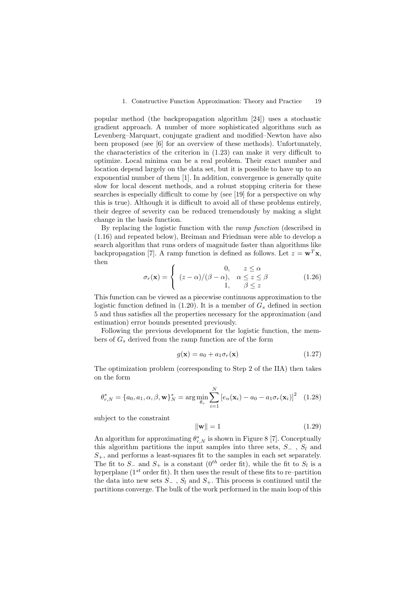popular method (the backpropagation algorithm [24]) uses a stochastic gradient approach. A number of more sophisticated algorithms such as Levenberg–Marquart, conjugate gradient and modified–Newton have also been proposed (see [6] for an overview of these methods). Unfortunately, the characteristics of the criterion in (1.23) can make it very difficult to optimize. Local minima can be a real problem. Their exact number and location depend largely on the data set, but it is possible to have up to an exponential number of them [1]. In addition, convergence is generally quite slow for local descent methods, and a robust stopping criteria for these searches is especially difficult to come by (see [19] for a perspective on why this is true). Although it is difficult to avoid all of these problems entirely, their degree of severity can be reduced tremendously by making a slight change in the basis function.

By replacing the logistic function with the ramp function (described in (1.16) and repeated below), Breiman and Friedman were able to develop a search algorithm that runs orders of magnitude faster than algorithms like backpropagation [7]. A ramp function is defined as follows. Let  $z = \mathbf{w}^T \mathbf{x}$ , then

$$
\sigma_r(\mathbf{x}) = \begin{cases}\n0, & z \le \alpha \\
(z - \alpha) / (\beta - \alpha), & \alpha \le z \le \beta \\
1, & \beta \le z\n\end{cases}\n\tag{1.26}
$$

This function can be viewed as a piecewise continuous approximation to the logistic function defined in (1.20). It is a member of  $G_s$  defined in section 5 and thus satisfies all the properties necessary for the approximation (and estimation) error bounds presented previously.

Following the previous development for the logistic function, the members of  $G_s$  derived from the ramp function are of the form

$$
g(\mathbf{x}) = a_0 + a_1 \sigma_r(\mathbf{x}) \tag{1.27}
$$

The optimization problem (corresponding to Step 2 of the IIA) then takes on the form

$$
\theta_{r,N}^* = \{a_0, a_1, \alpha, \beta, \mathbf{w}\}_{N}^* = \arg\min_{\theta_r} \sum_{i=1}^{N} \left[e_n(\mathbf{x}_i) - a_0 - a_1 \sigma_r(\mathbf{x}_i)\right]^2 \quad (1.28)
$$

subject to the constraint

$$
\|\mathbf{w}\| = 1\tag{1.29}
$$

An algorithm for approximating  $\theta_{r,N}^*$  is shown in Figure 8 [7]. Conceptually this algorithm partitions the input samples into three sets,  $S_-\,$ ,  $S_l$  and  $S_{+}$ , and performs a least-squares fit to the samples in each set separately. The fit to  $S_-\,$  and  $S_+$  is a constant  $(0^{th}$  order fit), while the fit to  $S_l$  is a hyperplane ( $1^{st}$  order fit). It then uses the result of these fits to re–partition the data into new sets  $S_-\,$ ,  $S_l$  and  $S_+$ . This process is continued until the partitions converge. The bulk of the work performed in the main loop of this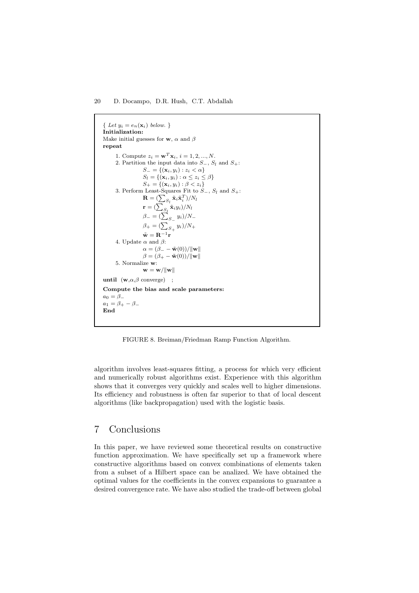{ Let  $y_i = e_n(\mathbf{x}_i)$  below. } Initialization: Make initial guesses for **w**,  $\alpha$  and  $\beta$ repeat 1. Compute  $z_i = \mathbf{w}^T \mathbf{x}_i, i = 1, 2, ..., N$ . 2. Partition the input data into  $S_-, S_l$  and  $S_+$ :  $S_ = \{(\mathbf{x}_i, y_i) : z_i < \alpha\}$  $S_l = \{(\mathbf{x}_i, y_i) : \alpha \leq z_i \leq \beta\}$  $S_+ = \{(\mathbf{x}_i, y_i) : \beta < z_i\}$ 3. Perform Least-Squares Fit to  $S_-, S_l$  and  $S_+$ :  $\mathbf{R} = (\sum_{S_l} \tilde{\mathbf{x}}_i \tilde{\mathbf{x}}_i^T)/N_l$  $\mathbf{r} = (\sum_{S_l} \tilde{\mathbf{x}}_i y_i)/N_l$  $\beta_- = (\sum_{S_-} y_i)/N_ \beta_{+} = (\sum_{S_{+}} y_{i})/N_{+}$  $\tilde{\mathbf{w}} = \mathbf{R}^{-1}\mathbf{r}$ 4. Update  $\alpha$  and  $\beta$ :  $\alpha = (\beta_- - \tilde{\mathbf{w}}(0))/\|\mathbf{w}\|$  $\beta = (\beta_+ - \tilde{\mathbf{w}}(0))/\|\mathbf{w}\|$ 5. Normalize w:  $\mathbf{w} = \mathbf{w}/\|\mathbf{w}\|$ until  $(\mathbf{w}, \alpha, \beta \text{ converge})$  ; Compute the bias and scale parameters:  $a_0 = \beta_$  $a_1 = \beta_+ - \beta_-$ End

FIGURE 8. Breiman/Friedman Ramp Function Algorithm.

algorithm involves least-squares fitting, a process for which very efficient and numerically robust algorithms exist. Experience with this algorithm shows that it converges very quickly and scales well to higher dimensions. Its efficiency and robustness is often far superior to that of local descent algorithms (like backpropagation) used with the logistic basis.

## 7 Conclusions

In this paper, we have reviewed some theoretical results on constructive function approximation. We have specifically set up a framework where constructive algorithms based on convex combinations of elements taken from a subset of a Hilbert space can be analized. We have obtained the optimal values for the coefficients in the convex expansions to guarantee a desired convergence rate. We have also studied the trade-off between global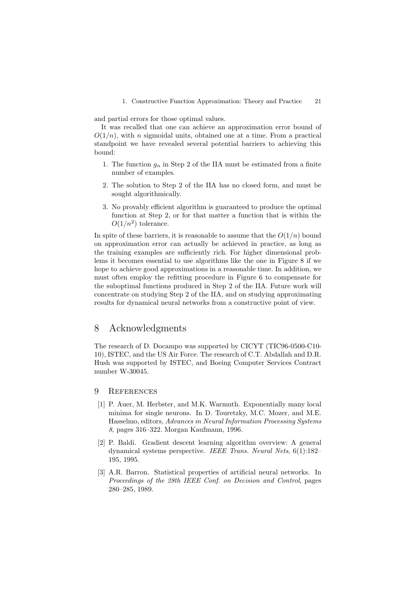1. Constructive Function Approximation: Theory and Practice 21

and partial errors for those optimal values.

It was recalled that one can achieve an approximation error bound of  $O(1/n)$ , with n sigmoidal units, obtained one at a time. From a practical standpoint we have revealed several potential barriers to achieving this bound:

- 1. The function  $g_n$  in Step 2 of the IIA must be estimated from a finite number of examples.
- 2. The solution to Step 2 of the IIA has no closed form, and must be sought algorithmically.
- 3. No provably efficient algorithm is guaranteed to produce the optimal function at Step 2, or for that matter a function that is within the  $O(1/n^2)$  tolerance.

In spite of these barriers, it is reasonable to assume that the  $O(1/n)$  bound on approximation error can actually be achieved in practice, as long as the training examples are sufficiently rich. For higher dimensional problems it becomes essential to use algorithms like the one in Figure 8 if we hope to achieve good approximations in a reasonable time. In addition, we must often employ the refitting procedure in Figure 6 to compensate for the suboptimal functions produced in Step 2 of the IIA. Future work will concentrate on studying Step 2 of the IIA, and on studying approximating results for dynamical neural networks from a constructive point of view.

## 8 Acknowledgments

The research of D. Docampo was supported by CICYT (TIC96-0500-C10- 10), ISTEC, and the US Air Force. The research of C.T. Abdallah and D.R. Hush was supported by ISTEC, and Boeing Computer Services Contract number W-30045.

#### 9 References

- [1] P. Auer, M. Herbster, and M.K. Warmuth. Exponentially many local minima for single neurons. In D. Touretzky, M.C. Mozer, and M.E. Hasselmo, editors, Advances in Neural Information Processing Systems 8, pages 316–322. Morgan Kaufmann, 1996.
- [2] P. Baldi. Gradient descent learning algorithm overview: A general dynamical systems perspective. IEEE Trans. Neural Nets, 6(1):182– 195, 1995.
- [3] A.R. Barron. Statistical properties of artificial neural networks. In Proceedings of the 28th IEEE Conf. on Decision and Control, pages 280–285, 1989.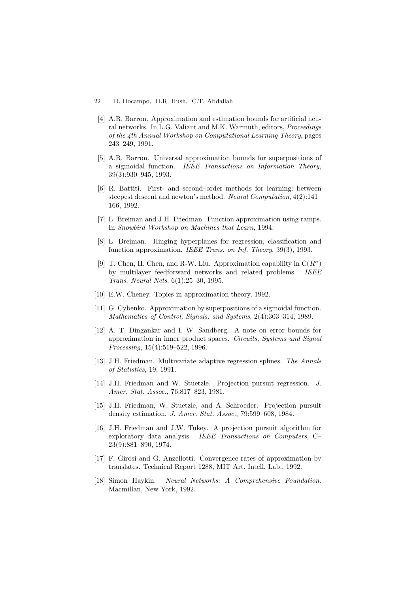- 22 D. Docampo, D.R. Hush, C.T. Abdallah
	- [4] A.R. Barron. Approximation and estimation bounds for artificial neural networks. In L.G. Valiant and M.K. Warmuth, editors, Proceedings of the 4th Annual Workshop on Computational Learning Theory, pages 243–249, 1991.
	- [5] A.R. Barron. Universal approximation bounds for superpositions of a sigmoidal function. IEEE Transactions on Information Theory, 39(3):930–945, 1993.
	- [6] R. Battiti. First- and second–order methods for learning: between steepest descent and newton's method. Neural Computation, 4(2):141– 166, 1992.
	- [7] L. Breiman and J.H. Friedman. Function approximation using ramps. In Snowbird Workshop on Machines that Learn, 1994.
	- [8] L. Breiman. Hinging hyperplanes for regression, classification and function approximation. IEEE Trans. on Inf. Theory, 39(3), 1993.
	- [9] T. Chen, H. Chen, and R-W. Liu. Approximation capability in  $C(R<sup>n</sup>)$ by multilayer feedforward networks and related problems. IEEE Trans. Neural Nets, 6(1):25–30, 1995.
- [10] E.W. Cheney. Topics in approximation theory, 1992.
- [11] G. Cybenko. Approximation by superpositions of a sigmoidal function. Mathematics of Control, Signals, and Systems, 2(4):303–314, 1989.
- [12] A. T. Dingankar and I. W. Sandberg. A note on error bounds for approximation in inner product spaces. Circuits, Systems and Signal Processing, 15(4):519–522, 1996.
- [13] J.H. Friedman. Multivariate adaptive regression splines. The Annals of Statistics, 19, 1991.
- [14] J.H. Friedman and W. Stuetzle. Projection pursuit regression. J. Amer. Stat. Assoc., 76:817–823, 1981.
- [15] J.H. Friedman, W. Stuetzle, and A. Schroeder. Projection pursuit density estimation. J. Amer. Stat. Assoc., 79:599–608, 1984.
- [16] J.H. Friedman and J.W. Tukey. A projection pursuit algorithm for exploratory data analysis. IEEE Transactions on Computers, C– 23(9):881–890, 1974.
- [17] F. Girosi and G. Anzellotti. Convergence rates of approximation by translates. Technical Report 1288, MIT Art. Intell. Lab., 1992.
- [18] Simon Haykin. Neural Networks: A Comprehensive Foundation. Macmillan, New York, 1992.